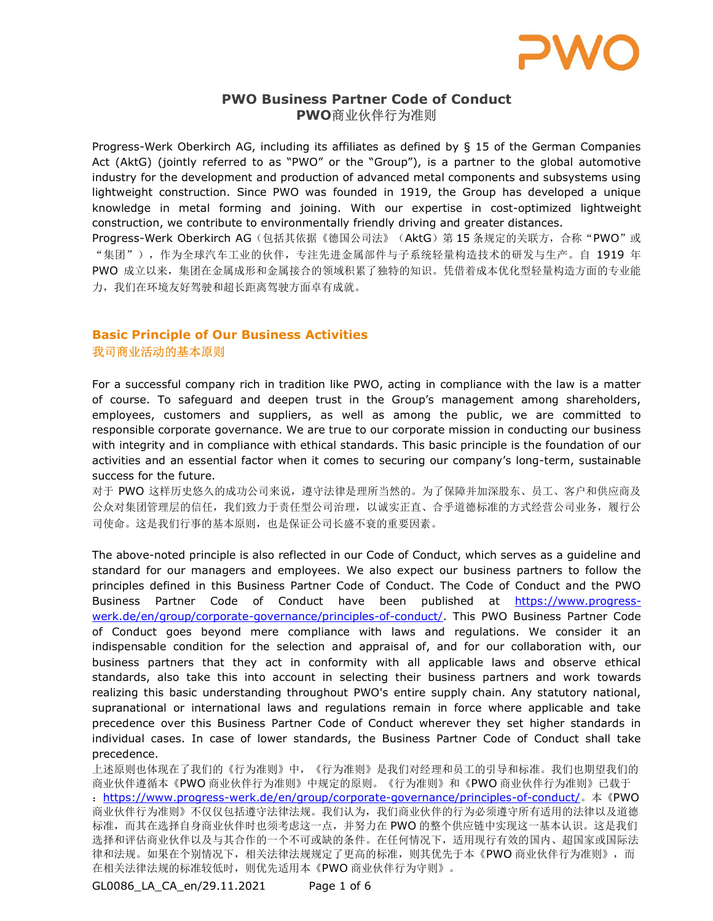

# PWO Business Partner Code of Conduct PWO商业伙伴行为准则

Progress-Werk Oberkirch AG, including its affiliates as defined by § 15 of the German Companies Act (AktG) (jointly referred to as "PWO" or the "Group"), is a partner to the global automotive industry for the development and production of advanced metal components and subsystems using lightweight construction. Since PWO was founded in 1919, the Group has developed a unique knowledge in metal forming and joining. With our expertise in cost-optimized lightweight construction, we contribute to environmentally friendly driving and greater distances.

Progress-Werk Oberkirch AG (包括其依据《德国公司法》(AktG) 第 15 条规定的关联方, 合称"PWO"或 "集团"),作为全球汽车工业的伙伴,专注先进金属部件与子系统轻量构造技术的研发与生产。自 1919 年 PWO 成立以来,集团在金属成形和金属接合的领域积累了独特的知识。凭借着成本优化型轻量构造方面的专业能 力,我们在环境友好驾驶和超长距离驾驶方面卓有成就。

# Basic Principle of Our Business Activities 我司商业活动的基本原则

For a successful company rich in tradition like PWO, acting in compliance with the law is a matter of course. To safeguard and deepen trust in the Group's management among shareholders, employees, customers and suppliers, as well as among the public, we are committed to responsible corporate governance. We are true to our corporate mission in conducting our business with integrity and in compliance with ethical standards. This basic principle is the foundation of our activities and an essential factor when it comes to securing our company's long-term, sustainable success for the future.

对于 PWO 这样历史悠久的成功公司来说,遵守法律是理所当然的。为了保障并加深股东、员工、客户和供应商及 公众对集团管理层的信任,我们致力于责任型公司治理,以诚实正直、合乎道德标准的方式经营公司业务,履行公 司使命。这是我们行事的基本原则,也是保证公司长盛不衰的重要因素。

The above-noted principle is also reflected in our Code of Conduct, which serves as a guideline and standard for our managers and employees. We also expect our business partners to follow the principles defined in this Business Partner Code of Conduct. The Code of Conduct and the PWO Business Partner Code of Conduct have been published at https://www.progresswerk.de/en/group/corporate-governance/principles-of-conduct/. This PWO Business Partner Code of Conduct goes beyond mere compliance with laws and regulations. We consider it an indispensable condition for the selection and appraisal of, and for our collaboration with, our business partners that they act in conformity with all applicable laws and observe ethical standards, also take this into account in selecting their business partners and work towards realizing this basic understanding throughout PWO's entire supply chain. Any statutory national, supranational or international laws and regulations remain in force where applicable and take precedence over this Business Partner Code of Conduct wherever they set higher standards in individual cases. In case of lower standards, the Business Partner Code of Conduct shall take precedence.

上述原则也体现在了我们的《行为准则》中,《行为准则》是我们对经理和员工的引导和标准。我们也期望我们的 商业伙伴遵循本《PWO 商业伙伴行为准则》中规定的原则。《行为准则》和《PWO 商业伙伴行为准则》已载于 :https://www.progress-werk.de/en/group/corporate-governance/principles-of-conduct/。本《PWO 商业伙伴行为准则》不仅仅包括遵守法律法规。我们认为,我们商业伙伴的行为必须遵守所有适用的法律以及道德 标准,而其在选择自身商业伙伴时也须考虑这一点,并努力在 PWO 的整个供应链中实现这一基本认识。这是我们 选择和评估商业伙伴以及与其合作的一个不可或缺的条件。在任何情况下,适用现行有效的国内、超国家或国际法 律和法规。如果在个别情况下,相关法律法规规定了更高的标准,则其优先于本《PWO 商业伙伴行为准则》,而 在相关法律法规的标准较低时,则优先适用本《PWO 商业伙伴行为守则》。

GL0086\_LA\_CA\_en/29.11.2021 Page 1 of 6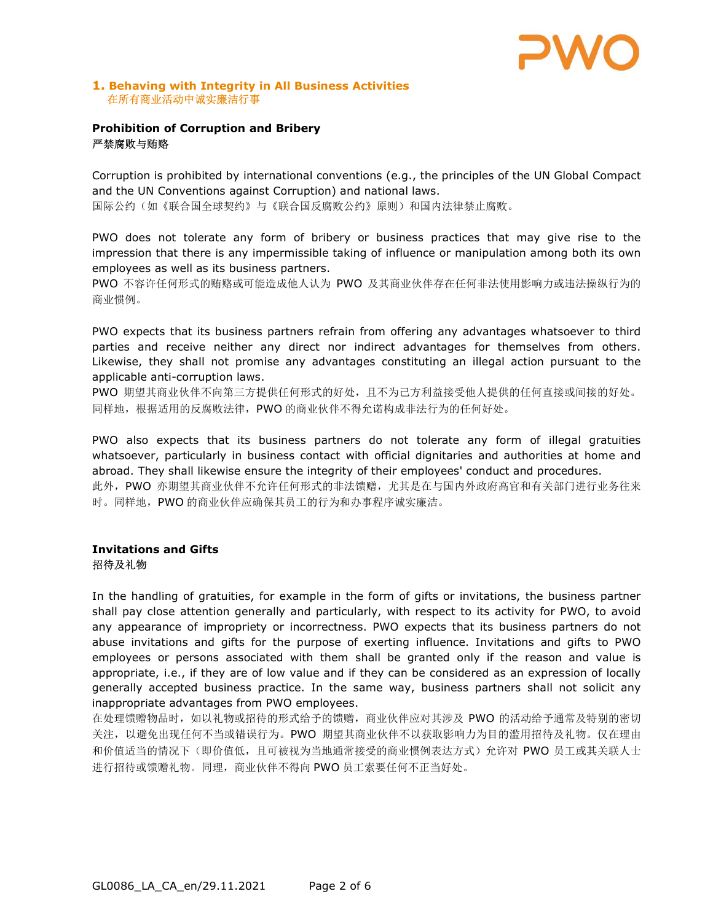

#### 1. Behaving with Integrity in All Business Activities 在所有商业活动中诚实廉洁行事

### Prohibition of Corruption and Bribery 严禁腐败与贿赂

Corruption is prohibited by international conventions (e.g., the principles of the UN Global Compact and the UN Conventions against Corruption) and national laws.

国际公约(如《联合国全球契约》与《联合国反腐败公约》原则)和国内法律禁止腐败。

PWO does not tolerate any form of bribery or business practices that may give rise to the impression that there is any impermissible taking of influence or manipulation among both its own employees as well as its business partners.

PWO 不容许任何形式的贿赂或可能造成他人认为 PWO 及其商业伙伴存在任何非法使用影响力或违法操纵行为的 商业惯例。

PWO expects that its business partners refrain from offering any advantages whatsoever to third parties and receive neither any direct nor indirect advantages for themselves from others. Likewise, they shall not promise any advantages constituting an illegal action pursuant to the applicable anti-corruption laws.

PWO 期望其商业伙伴不向第三方提供任何形式的好处,且不为己方利益接受他人提供的任何直接或间接的好处。 同样地,根据适用的反腐败法律,PWO 的商业伙伴不得允诺构成非法行为的任何好处。

PWO also expects that its business partners do not tolerate any form of illegal gratuities whatsoever, particularly in business contact with official dignitaries and authorities at home and abroad. They shall likewise ensure the integrity of their employees' conduct and procedures. 此外, PWO 亦期望其商业伙伴不允许任何形式的非法馈赠, 尤其是在与国内外政府高官和有关部门进行业务往来 时。同样地,PWO 的商业伙伴应确保其员工的行为和办事程序诚实廉洁。

### Invitations and Gifts 招待及礼物

In the handling of gratuities, for example in the form of gifts or invitations, the business partner shall pay close attention generally and particularly, with respect to its activity for PWO, to avoid any appearance of impropriety or incorrectness. PWO expects that its business partners do not abuse invitations and gifts for the purpose of exerting influence. Invitations and gifts to PWO employees or persons associated with them shall be granted only if the reason and value is appropriate, i.e., if they are of low value and if they can be considered as an expression of locally generally accepted business practice. In the same way, business partners shall not solicit any inappropriate advantages from PWO employees.

在处理馈赠物品时,如以礼物或招待的形式给予的馈赠,商业伙伴应对其涉及 PWO 的活动给予通常及特别的密切 关注, 以避免出现任何不当或错误行为。PWO 期望其商业伙伴不以获取影响力为目的滥用招待及礼物。仅在理由 和价值适当的情况下(即价值低,且可被视为当地通常接受的商业惯例表达方式)允许对 PWO 员工或其关联人士 进行招待或馈赠礼物。同理,商业伙伴不得向 PWO 员工索要任何不正当好处。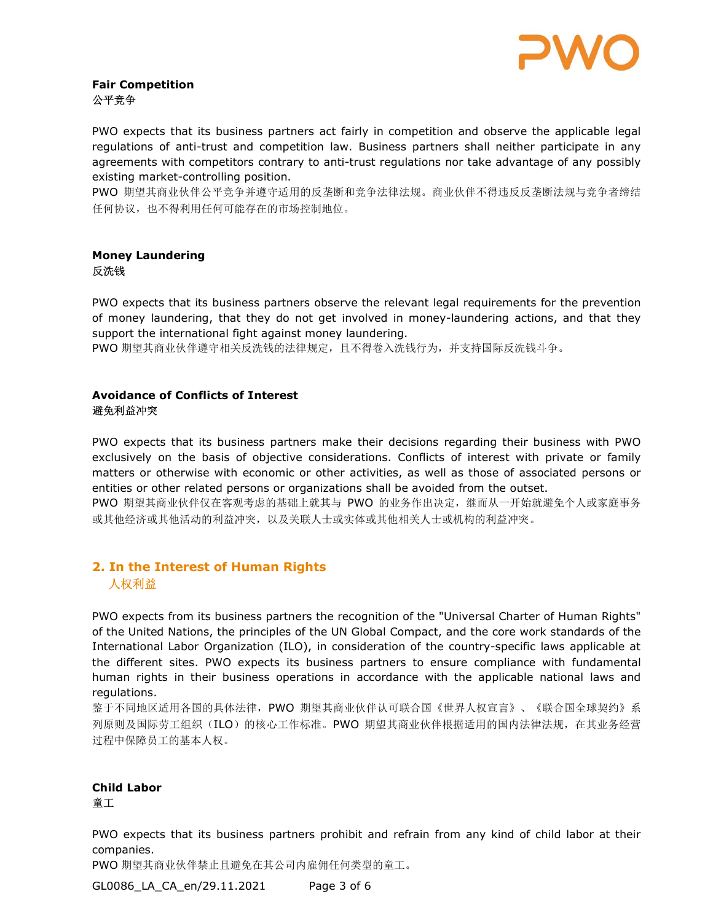

### Fair Competition 公平竞争

PWO expects that its business partners act fairly in competition and observe the applicable legal regulations of anti-trust and competition law. Business partners shall neither participate in any agreements with competitors contrary to anti-trust regulations nor take advantage of any possibly existing market-controlling position.

PWO 期望其商业伙伴公平竞争并遵守适用的反垄断和竞争法律法规。商业伙伴不得违反反垄断法规与竞争者缔结 任何协议,也不得利用任何可能存在的市场控制地位。

### Money Laundering 反洗钱

PWO expects that its business partners observe the relevant legal requirements for the prevention of money laundering, that they do not get involved in money-laundering actions, and that they support the international fight against money laundering.

PWO 期望其商业伙伴遵守相关反洗钱的法律规定,且不得卷入洗钱行为,并支持国际反洗钱斗争。

### Avoidance of Conflicts of Interest 避免利益冲突

PWO expects that its business partners make their decisions regarding their business with PWO exclusively on the basis of objective considerations. Conflicts of interest with private or family matters or otherwise with economic or other activities, as well as those of associated persons or entities or other related persons or organizations shall be avoided from the outset.

PWO 期望其商业伙伴仅在客观考虑的基础上就其与 PWO 的业务作出决定,继而从一开始就避免个人或家庭事务 或其他经济或其他活动的利益冲突,以及关联人士或实体或其他相关人士或机构的利益冲突。

# 2. In the Interest of Human Rights 人权利益

PWO expects from its business partners the recognition of the "Universal Charter of Human Rights" of the United Nations, the principles of the UN Global Compact, and the core work standards of the International Labor Organization (ILO), in consideration of the country-specific laws applicable at the different sites. PWO expects its business partners to ensure compliance with fundamental human rights in their business operations in accordance with the applicable national laws and regulations.

鉴于不同地区适用各国的具体法律,PWO 期望其商业伙伴认可联合国《世界人权宣言》、《联合国全球契约》系 列原则及国际劳工组织(ILO)的核心工作标准。PWO 期望其商业伙伴根据适用的国内法律法规, 在其业务经营 过程中保障员工的基本人权。

# Child Labor 童工

PWO expects that its business partners prohibit and refrain from any kind of child labor at their companies.

PWO 期望其商业伙伴禁止且避免在其公司内雇佣任何类型的童工。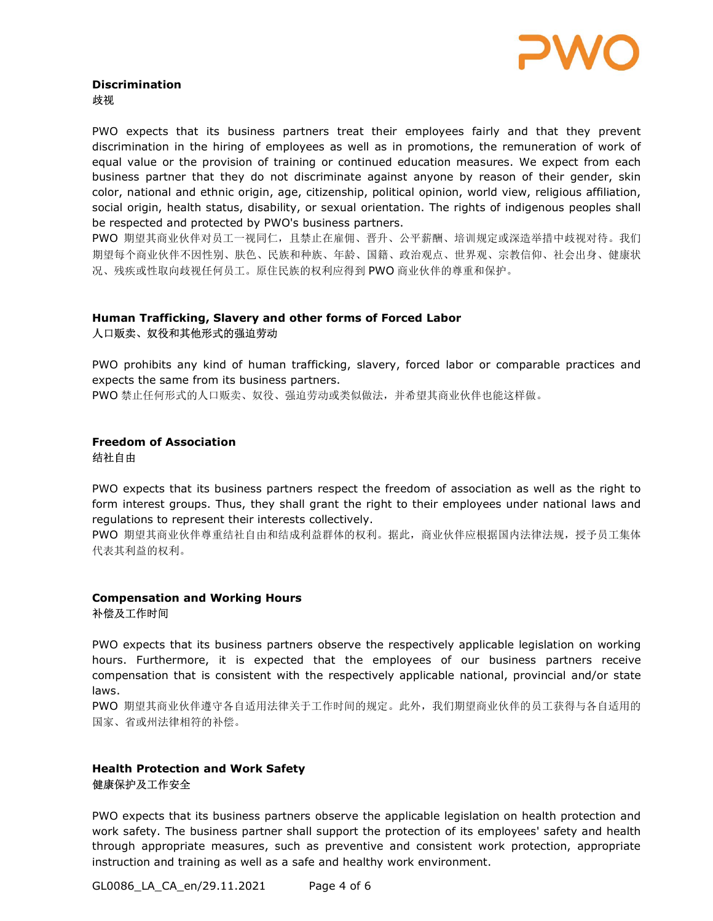

#### Discrimination 歧视

PWO expects that its business partners treat their employees fairly and that they prevent discrimination in the hiring of employees as well as in promotions, the remuneration of work of equal value or the provision of training or continued education measures. We expect from each business partner that they do not discriminate against anyone by reason of their gender, skin color, national and ethnic origin, age, citizenship, political opinion, world view, religious affiliation, social origin, health status, disability, or sexual orientation. The rights of indigenous peoples shall be respected and protected by PWO's business partners.

PWO 期望其商业伙伴对员工一视同仁,且禁止在雇佣、晋升、公平薪酬、培训规定或深造举措中歧视对待。我们 期望每个商业伙伴不因性别、肤色、民族和种族、年龄、国籍、政治观点、世界观、宗教信仰、社会出身、健康状 况、残疾或性取向歧视任何员工。原住民族的权利应得到 PWO 商业伙伴的尊重和保护。

### Human Trafficking, Slavery and other forms of Forced Labor 人口贩卖、奴役和其他形式的强迫劳动

PWO prohibits any kind of human trafficking, slavery, forced labor or comparable practices and expects the same from its business partners.

PWO 禁止任何形式的人口贩卖、奴役、强迫劳动或类似做法,并希望其商业伙伴也能这样做。

### Freedom of Association 结社自由

PWO expects that its business partners respect the freedom of association as well as the right to form interest groups. Thus, they shall grant the right to their employees under national laws and regulations to represent their interests collectively.

PWO 期望其商业伙伴尊重结社自由和结成利益群体的权利。据此,商业伙伴应根据国内法律法规,授予员工集体 代表其利益的权利。

### Compensation and Working Hours 补偿及工作时间

PWO expects that its business partners observe the respectively applicable legislation on working hours. Furthermore, it is expected that the employees of our business partners receive compensation that is consistent with the respectively applicable national, provincial and/or state laws.

PWO 期望其商业伙伴遵守各自适用法律关于工作时间的规定。此外,我们期望商业伙伴的员工获得与各自适用的 国家、省或州法律相符的补偿。

### Health Protection and Work Safety 健康保护及工作安全

PWO expects that its business partners observe the applicable legislation on health protection and work safety. The business partner shall support the protection of its employees' safety and health through appropriate measures, such as preventive and consistent work protection, appropriate instruction and training as well as a safe and healthy work environment.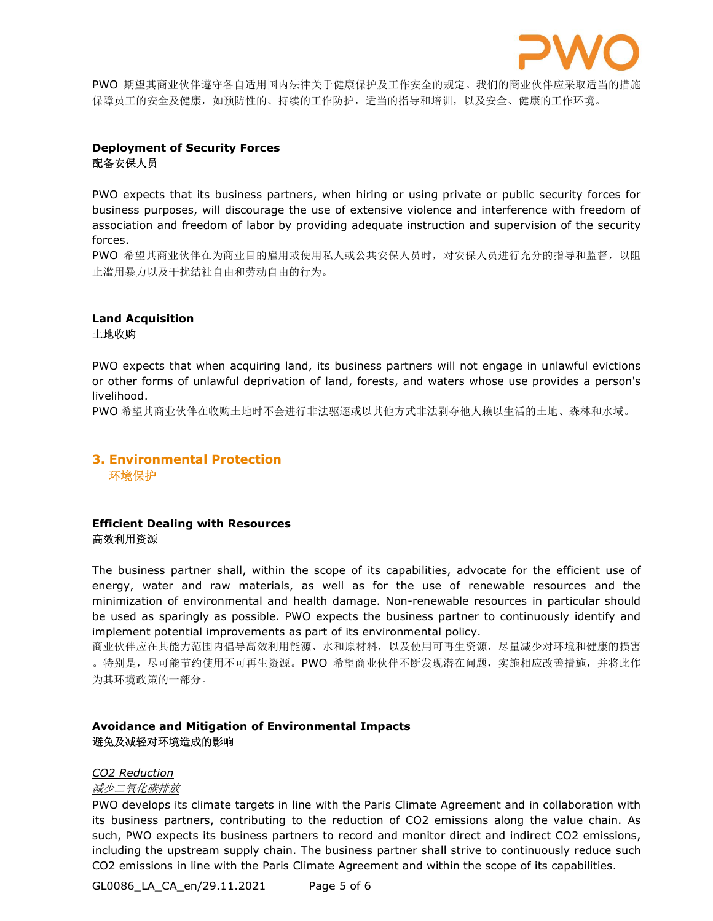

PWO 期望其商业伙伴遵守各自适用国内法律关于健康保护及工作安全的规定。我们的商业伙伴应采取适当的措施 保障员工的安全及健康,如预防性的、持续的工作防护,适当的指导和培训,以及安全、健康的工作环境。

### Deployment of Security Forces 配备安保人员

PWO expects that its business partners, when hiring or using private or public security forces for business purposes, will discourage the use of extensive violence and interference with freedom of association and freedom of labor by providing adequate instruction and supervision of the security forces.

PWO 希望其商业伙伴在为商业目的雇用或使用私人或公共安保人员时,对安保人员进行充分的指导和监督,以阻 止滥用暴力以及干扰结社自由和劳动自由的行为。

#### Land Acquisition 土地收购

PWO expects that when acquiring land, its business partners will not engage in unlawful evictions or other forms of unlawful deprivation of land, forests, and waters whose use provides a person's livelihood.

PWO 希望其商业伙伴在收购土地时不会进行非法驱逐或以其他方式非法剥夺他人赖以生活的土地、森林和水域。

# 3. Environmental Protection 环境保护

### Efficient Dealing with Resources 高效利用资源

The business partner shall, within the scope of its capabilities, advocate for the efficient use of energy, water and raw materials, as well as for the use of renewable resources and the minimization of environmental and health damage. Non-renewable resources in particular should be used as sparingly as possible. PWO expects the business partner to continuously identify and implement potential improvements as part of its environmental policy.

商业伙伴应在其能力范围内倡导高效利用能源、水和原材料,以及使用可再生资源,尽量减少对环境和健康的损害 。特别是,尽可能节约使用不可再生资源。PWO 希望商业伙伴不断发现潜在问题,实施相应改善措施,并将此作 为其环境政策的一部分。

### Avoidance and Mitigation of Environmental Impacts 避免及减轻对环境造成的影响

#### CO2 Reduction

减少二氧化碳排放

PWO develops its climate targets in line with the Paris Climate Agreement and in collaboration with its business partners, contributing to the reduction of CO2 emissions along the value chain. As such, PWO expects its business partners to record and monitor direct and indirect CO2 emissions, including the upstream supply chain. The business partner shall strive to continuously reduce such CO2 emissions in line with the Paris Climate Agreement and within the scope of its capabilities.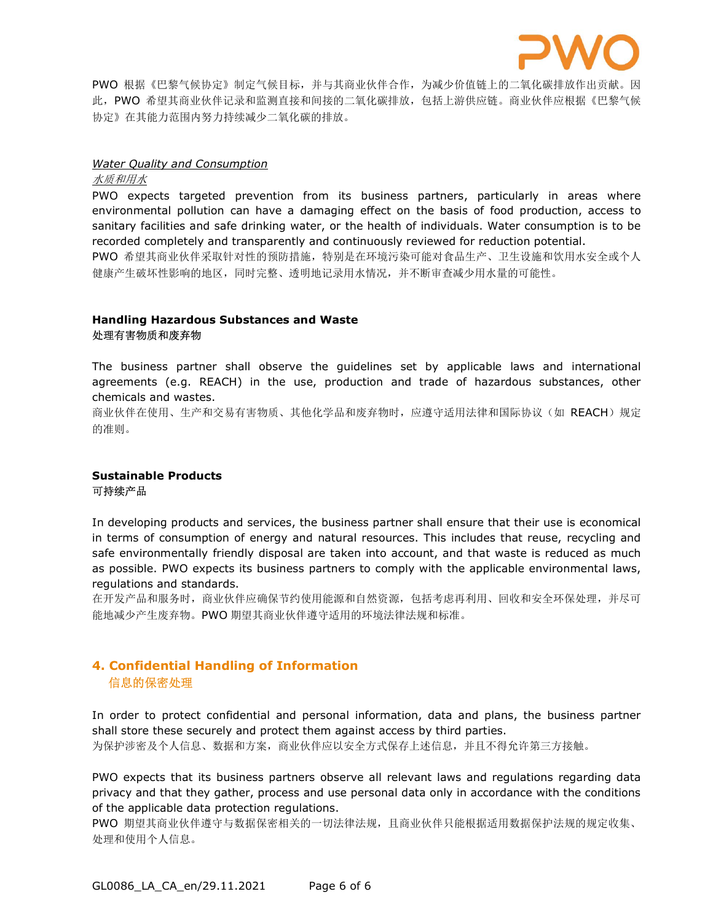

PWO 根据《巴黎气候协定》制定气候目标,并与其商业伙伴合作,为减少价值链上的二氧化碳排放作出贡献。因 此,PWO 希望其商业伙伴记录和监测直接和间接的二氧化碳排放,包括上游供应链。商业伙伴应根据《巴黎气候 协定》在其能力范围内努力持续减少二氧化碳的排放。

#### **Water Quality and Consumption**

水质和用水

PWO expects targeted prevention from its business partners, particularly in areas where environmental pollution can have a damaging effect on the basis of food production, access to sanitary facilities and safe drinking water, or the health of individuals. Water consumption is to be recorded completely and transparently and continuously reviewed for reduction potential. PWO 希望其商业伙伴采取针对性的预防措施,特别是在环境污染可能对食品生产、卫生设施和饮用水安全或个人

健康产生破坏性影响的地区,同时完整、透明地记录用水情况,并不断审查减少用水量的可能性。

### Handling Hazardous Substances and Waste 处理有害物质和废弃物

The business partner shall observe the guidelines set by applicable laws and international agreements (e.g. REACH) in the use, production and trade of hazardous substances, other chemicals and wastes.

商业伙伴在使用、生产和交易有害物质、其他化学品和废弃物时,应遵守适用法律和国际协议(如 REACH)规定 的准则。

#### Sustainable Products 可持续产品

In developing products and services, the business partner shall ensure that their use is economical in terms of consumption of energy and natural resources. This includes that reuse, recycling and safe environmentally friendly disposal are taken into account, and that waste is reduced as much as possible. PWO expects its business partners to comply with the applicable environmental laws, regulations and standards.

在开发产品和服务时,商业伙伴应确保节约使用能源和自然资源,包括考虑再利用、回收和安全环保处理,并尽可 能地减少产生废弃物。PWO 期望其商业伙伴遵守适用的环境法律法规和标准。

# 4. Confidential Handling of Information 信息的保密处理

In order to protect confidential and personal information, data and plans, the business partner shall store these securely and protect them against access by third parties. 为保护涉密及个人信息、数据和方案,商业伙伴应以安全方式保存上述信息,并且不得允许第三方接触。

PWO expects that its business partners observe all relevant laws and regulations regarding data privacy and that they gather, process and use personal data only in accordance with the conditions of the applicable data protection regulations.

PWO 期望其商业伙伴遵守与数据保密相关的一切法律法规,且商业伙伴只能根据适用数据保护法规的规定收集、 处理和使用个人信息。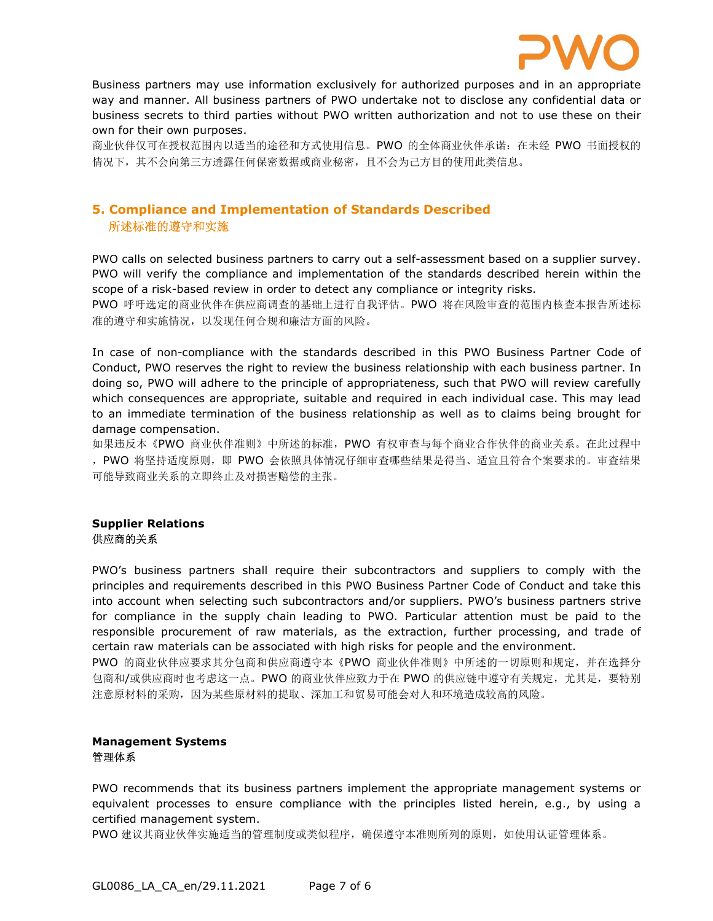

Business partners may use information exclusively for authorized purposes and in an appropriate way and manner. All business partners of PWO undertake not to disclose any confidential data or business secrets to third parties without PWO written authorization and not to use these on their own for their own purposes.

商业伙伴仅可在授权范围内以适当的途径和方式使用信息。PWO 的全体商业伙伴承诺: 在未经 PWO 书面授权的 情况下,其不会向第三方透露任何保密数据或商业秘密,且不会为己方目的使用此类信息。

# 5. Compliance and Implementation of Standards Described 所述标准的遵守和实施

PWO calls on selected business partners to carry out a self-assessment based on a supplier survey. PWO will verify the compliance and implementation of the standards described herein within the scope of a risk-based review in order to detect any compliance or integrity risks.

PWO 呼吁选定的商业伙伴在供应商调查的基础上进行自我评估。PWO 将在风险审查的范围内核查本报告所述标 准的遵守和实施情况,以发现任何合规和廉洁方面的风险。

In case of non-compliance with the standards described in this PWO Business Partner Code of Conduct, PWO reserves the right to review the business relationship with each business partner. In doing so, PWO will adhere to the principle of appropriateness, such that PWO will review carefully which consequences are appropriate, suitable and required in each individual case. This may lead to an immediate termination of the business relationship as well as to claims being brought for damage compensation.

如果违反本《PWO 商业伙伴准则》中所述的标准,PWO 有权审查与每个商业合作伙伴的商业关系。在此过程中 ,PWO 将坚持适度原则,即 PWO 会依照具体情况仔细审查哪些结果是得当、适宜且符合个案要求的。审查结果 可能导致商业关系的立即终止及对损害赔偿的主张。

### Supplier Relations 供应商的关系

PWO's business partners shall require their subcontractors and suppliers to comply with the principles and requirements described in this PWO Business Partner Code of Conduct and take this into account when selecting such subcontractors and/or suppliers. PWO's business partners strive for compliance in the supply chain leading to PWO. Particular attention must be paid to the responsible procurement of raw materials, as the extraction, further processing, and trade of certain raw materials can be associated with high risks for people and the environment.

PWO 的商业伙伴应要求其分包商和供应商遵守本《PWO 商业伙伴准则》中所述的一切原则和规定,并在选择分 包商和/或供应商时也考虑这一点。PWO 的商业伙伴应致力于在 PWO 的供应链中遵守有关规定,尤其是,要特别 注意原材料的采购,因为某些原材料的提取、深加工和贸易可能会对人和环境造成较高的风险。

#### Management Systems 管理体系

PWO recommends that its business partners implement the appropriate management systems or equivalent processes to ensure compliance with the principles listed herein, e.g., by using a certified management system.

PWO 建议其商业伙伴实施适当的管理制度或类似程序,确保遵守本准则所列的原则,如使用认证管理体系。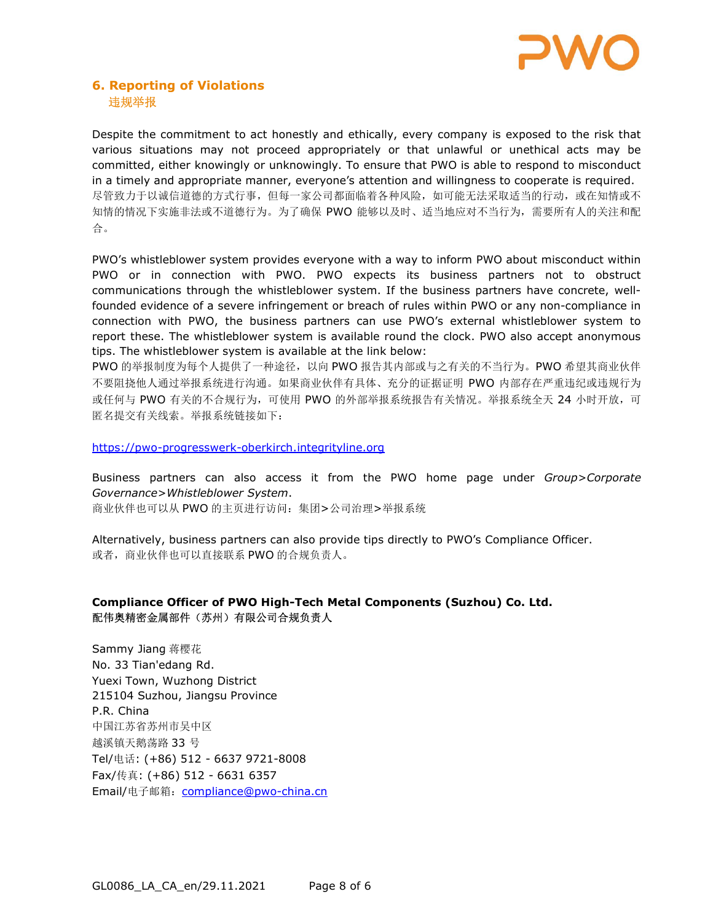

## 6. Reporting of Violations 违规举报

Despite the commitment to act honestly and ethically, every company is exposed to the risk that various situations may not proceed appropriately or that unlawful or unethical acts may be committed, either knowingly or unknowingly. To ensure that PWO is able to respond to misconduct in a timely and appropriate manner, everyone's attention and willingness to cooperate is required. 尽管致力于以诚信道德的方式行事,但每一家公司都面临着各种风险,如可能无法采取适当的行动,或在知情或不 知情的情况下实施非法或不道德行为。为了确保 PWO 能够以及时、适当地应对不当行为,需要所有人的关注和配 合。

PWO's whistleblower system provides everyone with a way to inform PWO about misconduct within PWO or in connection with PWO. PWO expects its business partners not to obstruct communications through the whistleblower system. If the business partners have concrete, wellfounded evidence of a severe infringement or breach of rules within PWO or any non-compliance in connection with PWO, the business partners can use PWO's external whistleblower system to report these. The whistleblower system is available round the clock. PWO also accept anonymous tips. The whistleblower system is available at the link below:

PWO 的举报制度为每个人提供了一种途径,以向 PWO 报告其内部或与之有关的不当行为。PWO 希望其商业伙伴 不要阻挠他人通过举报系统进行沟通。如果商业伙伴有具体、充分的证据证明 PWO 内部存在严重违纪或违规行为 或任何与 PWO 有关的不合规行为,可使用 PWO 的外部举报系统报告有关情况。举报系统全天 24 小时开放,可 匿名提交有关线索。举报系统链接如下:

https://pwo-progresswerk-oberkirch.integrityline.org

Business partners can also access it from the PWO home page under Group>Corporate Governance>Whistleblower System. 商业伙伴也可以从 PWO 的主页进行访问: 集团>公司治理>举报系统

Alternatively, business partners can also provide tips directly to PWO's Compliance Officer. 或者,商业伙伴也可以直接联系 PWO 的合规负责人。

### Compliance Officer of PWO High-Tech Metal Components (Suzhou) Co. Ltd. 配伟奥精密金属部件(苏州)有限公司合规负责人

Sammy Jiang 蒋樱花 No. 33 Tian'edang Rd. Yuexi Town, Wuzhong District 215104 Suzhou, Jiangsu Province P.R. China 中国江苏省苏州市吴中区 越溪镇天鹅荡路 33 号 Tel/电话: (+86) 512 - 6637 9721-8008 Fax/传真: (+86) 512 - 6631 6357 Email/电子邮箱: compliance@pwo-china.cn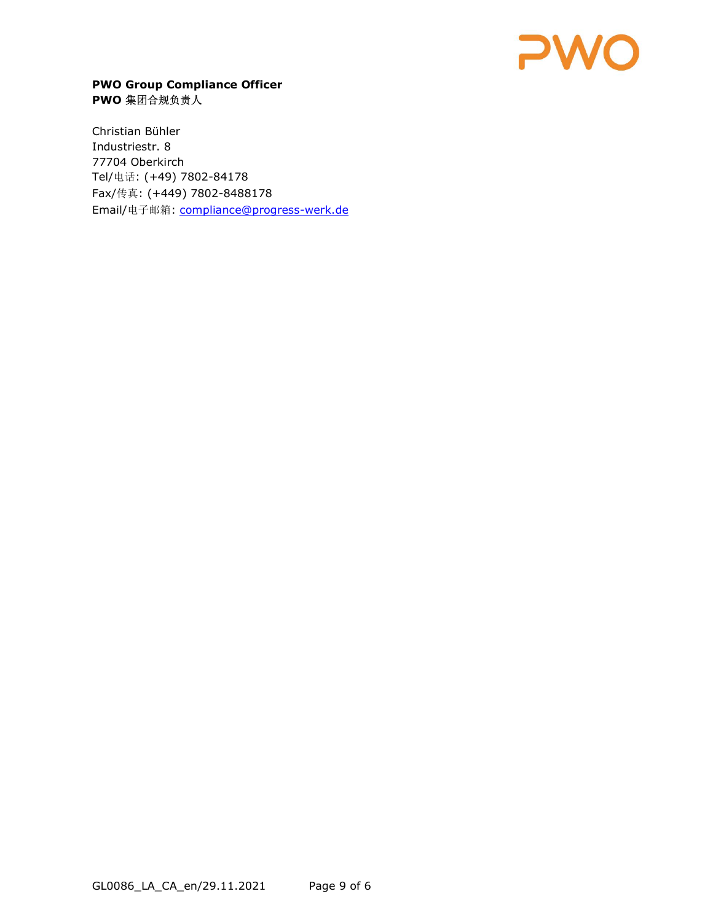

# PWO Group Compliance Officer PWO 集团合规负责人

Christian Bühler Industriestr. 8 77704 Oberkirch Tel/电话: (+49) 7802-84178 Fax/传真: (+449) 7802-8488178 Email/电子邮箱: compliance@progress-werk.de